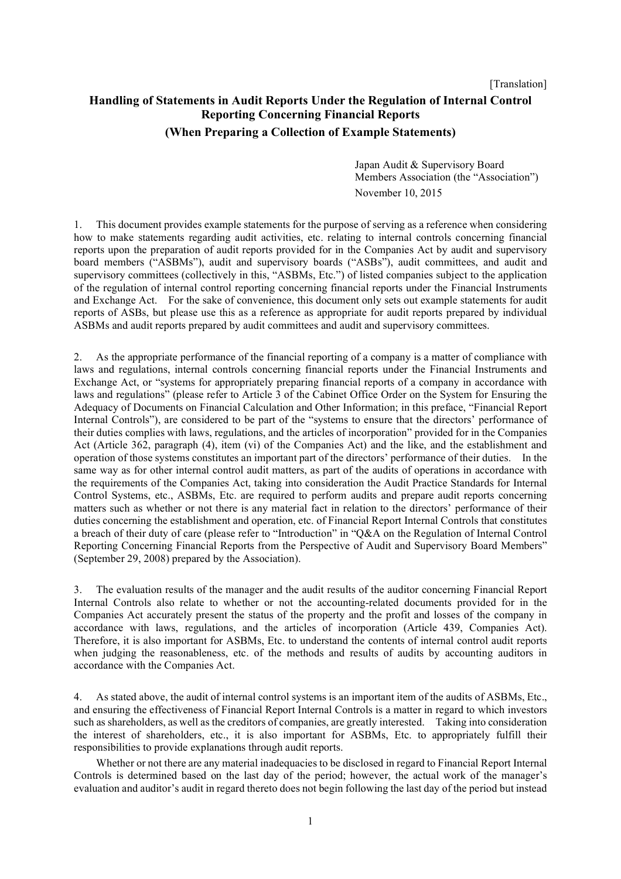[Translation]

# **Handling of Statements in Audit Reports Under the Regulation of Internal Control Reporting Concerning Financial Reports (When Preparing a Collection of Example Statements)**

Japan Audit & Supervisory Board Members Association (the "Association") November 10, 2015

1. This document provides example statements for the purpose of serving as a reference when considering how to make statements regarding audit activities, etc. relating to internal controls concerning financial reports upon the preparation of audit reports provided for in the Companies Act by audit and supervisory board members ("ASBMs"), audit and supervisory boards ("ASBs"), audit committees, and audit and supervisory committees (collectively in this, "ASBMs, Etc.") of listed companies subject to the application of the regulation of internal control reporting concerning financial reports under the Financial Instruments and Exchange Act. For the sake of convenience, this document only sets out example statements for audit reports of ASBs, but please use this as a reference as appropriate for audit reports prepared by individual ASBMs and audit reports prepared by audit committees and audit and supervisory committees.

2. As the appropriate performance of the financial reporting of a company is a matter of compliance with laws and regulations, internal controls concerning financial reports under the Financial Instruments and Exchange Act, or "systems for appropriately preparing financial reports of a company in accordance with laws and regulations" (please refer to Article 3 of the Cabinet Office Order on the System for Ensuring the Adequacy of Documents on Financial Calculation and Other Information; in this preface, "Financial Report Internal Controls"), are considered to be part of the "systems to ensure that the directors' performance of their duties complies with laws, regulations, and the articles of incorporation" provided for in the Companies Act (Article 362, paragraph (4), item (vi) of the Companies Act) and the like, and the establishment and operation of those systems constitutes an important part of the directors' performance of their duties. In the same way as for other internal control audit matters, as part of the audits of operations in accordance with the requirements of the Companies Act, taking into consideration the Audit Practice Standards for Internal Control Systems, etc., ASBMs, Etc. are required to perform audits and prepare audit reports concerning matters such as whether or not there is any material fact in relation to the directors' performance of their duties concerning the establishment and operation, etc. of Financial Report Internal Controls that constitutes a breach of their duty of care (please refer to "Introduction" in "Q&A on the Regulation of Internal Control Reporting Concerning Financial Reports from the Perspective of Audit and Supervisory Board Members" (September 29, 2008) prepared by the Association).

3. The evaluation results of the manager and the audit results of the auditor concerning Financial Report Internal Controls also relate to whether or not the accounting-related documents provided for in the Companies Act accurately present the status of the property and the profit and losses of the company in accordance with laws, regulations, and the articles of incorporation (Article 439, Companies Act). Therefore, it is also important for ASBMs, Etc. to understand the contents of internal control audit reports when judging the reasonableness, etc. of the methods and results of audits by accounting auditors in accordance with the Companies Act.

4. As stated above, the audit of internal control systems is an important item of the audits of ASBMs, Etc., and ensuring the effectiveness of Financial Report Internal Controls is a matter in regard to which investors such as shareholders, as well as the creditors of companies, are greatly interested. Taking into consideration the interest of shareholders, etc., it is also important for ASBMs, Etc. to appropriately fulfill their responsibilities to provide explanations through audit reports.

Whether or not there are any material inadequacies to be disclosed in regard to Financial Report Internal Controls is determined based on the last day of the period; however, the actual work of the manager's evaluation and auditor's audit in regard thereto does not begin following the last day of the period but instead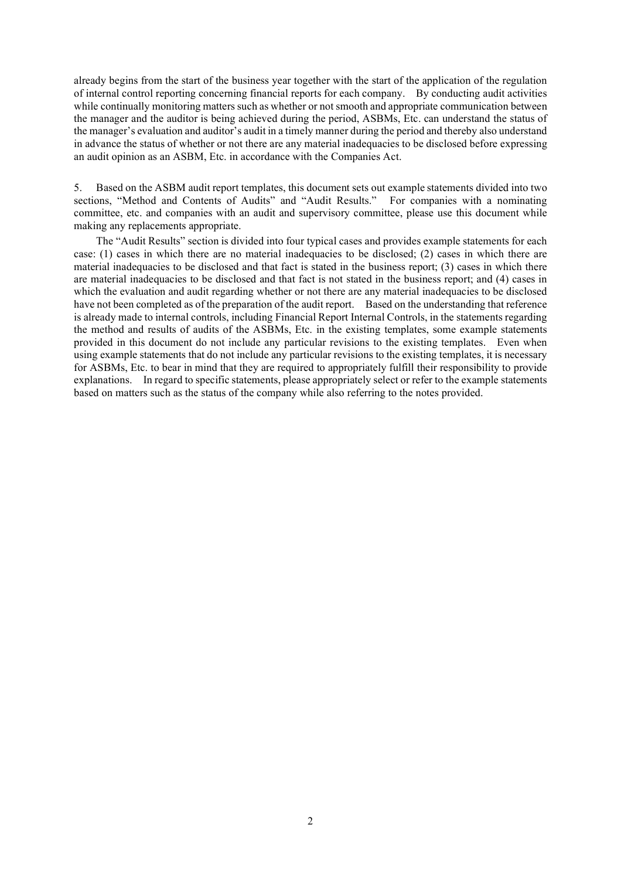already begins from the start of the business year together with the start of the application of the regulation of internal control reporting concerning financial reports for each company. By conducting audit activities while continually monitoring matters such as whether or not smooth and appropriate communication between the manager and the auditor is being achieved during the period, ASBMs, Etc. can understand the status of the manager's evaluation and auditor's audit in a timely manner during the period and thereby also understand in advance the status of whether or not there are any material inadequacies to be disclosed before expressing an audit opinion as an ASBM, Etc. in accordance with the Companies Act.

5. Based on the ASBM audit report templates, this document sets out example statements divided into two sections, "Method and Contents of Audits" and "Audit Results." For companies with a nominating committee, etc. and companies with an audit and supervisory committee, please use this document while making any replacements appropriate.

The "Audit Results" section is divided into four typical cases and provides example statements for each case: (1) cases in which there are no material inadequacies to be disclosed; (2) cases in which there are material inadequacies to be disclosed and that fact is stated in the business report; (3) cases in which there are material inadequacies to be disclosed and that fact is not stated in the business report; and (4) cases in which the evaluation and audit regarding whether or not there are any material inadequacies to be disclosed have not been completed as of the preparation of the audit report. Based on the understanding that reference is already made to internal controls, including Financial Report Internal Controls, in the statements regarding the method and results of audits of the ASBMs, Etc. in the existing templates, some example statements provided in this document do not include any particular revisions to the existing templates. Even when using example statements that do not include any particular revisions to the existing templates, it is necessary for ASBMs, Etc. to bear in mind that they are required to appropriately fulfill their responsibility to provide explanations. In regard to specific statements, please appropriately select or refer to the example statements based on matters such as the status of the company while also referring to the notes provided.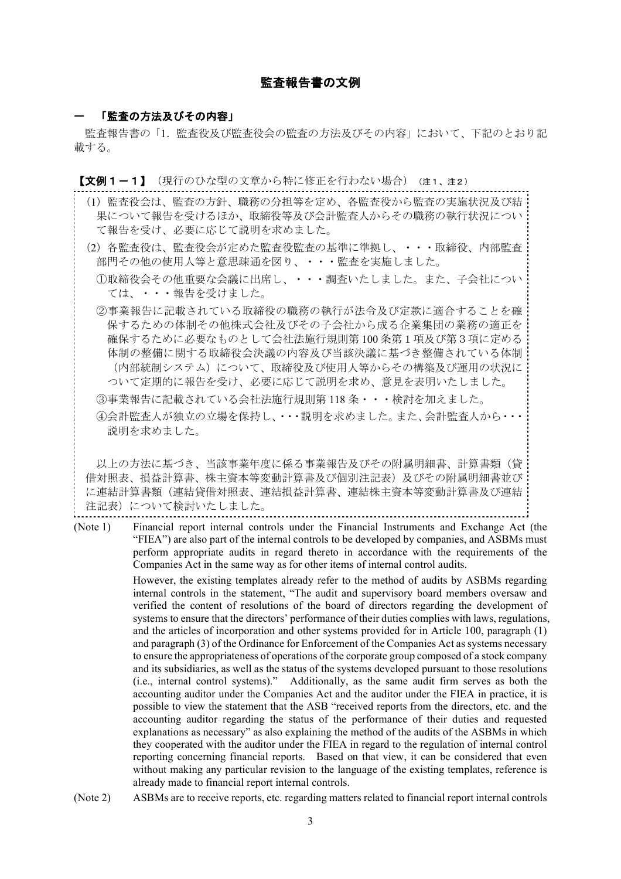# 監査報告書の文例

#### 「監査の方法及びその内容」

監査報告書の「1. 監査役及び監査役会の監査の方法及びその内容」において、下記のとおり記 載する。

【文例1-1】(現行のひな型の文章から特に修正を行わない場合)(注1、注2)

- (1)監査役会は、監査の方針、職務の分担等を定め、各監査役から監査の実施状況及び結 果について報告を受けるほか、取締役等及び会計監査人からその職務の執行状況につい て報告を受け、必要に応じて説明を求めました。
- (2)各監査役は、監査役会が定めた監査役監査の基準に準拠し、・・・取締役、内部監査 部門その他の使用人等と意思疎通を図り、・・・監査を実施しました。
	- ①取締役会その他重要な会議に出席し、・・・調査いたしました。また、子会社につい ては、・・・報告を受けました。
	- ②事業報告に記載されている取締役の職務の執行が法令及び定款に適合することを確 保するための体制その他株式会社及びその子会社から成る企業集団の業務の適正を 確保するために必要なものとして会社法施行規則第 100 条第1項及び第3項に定める 体制の整備に関する取締役会決議の内容及び当該決議に基づき整備されている体制 (内部統制システム)について、取締役及び使用人等からその構築及び運用の状況に ついて定期的に報告を受け、必要に応じて説明を求め、意見を表明いたしました。
	- ③事業報告に記載されている会社法施行規則第 118 条・・・検討を加えました。
	- ④会計監査人が独立の立場を保持し、・・・説明を求めました。また、会計監査人から・・・ 説明を求めました。

以上の方法に基づき、当該事業年度に係る事業報告及びその附属明細書、計算書類(貸 借対照表、損益計算書、株主資本等変動計算書及び個別注記表)及びその附属明細書並び に連結計算書類(連結貸借対照表、連結損益計算書、連結株主資本等変動計算書及び連結 注記表)について検討いたしました。

(Note 1) Financial report internal controls under the Financial Instruments and Exchange Act (the "FIEA") are also part of the internal controls to be developed by companies, and ASBMs must perform appropriate audits in regard thereto in accordance with the requirements of the Companies Act in the same way as for other items of internal control audits.

> However, the existing templates already refer to the method of audits by ASBMs regarding internal controls in the statement, "The audit and supervisory board members oversaw and verified the content of resolutions of the board of directors regarding the development of systems to ensure that the directors' performance of their duties complies with laws, regulations, and the articles of incorporation and other systems provided for in Article 100, paragraph (1) and paragraph (3) of the Ordinance for Enforcement of the Companies Act as systems necessary to ensure the appropriateness of operations of the corporate group composed of a stock company and its subsidiaries, as well as the status of the systems developed pursuant to those resolutions (i.e., internal control systems)." Additionally, as the same audit firm serves as both the accounting auditor under the Companies Act and the auditor under the FIEA in practice, it is possible to view the statement that the ASB "received reports from the directors, etc. and the accounting auditor regarding the status of the performance of their duties and requested explanations as necessary" as also explaining the method of the audits of the ASBMs in which they cooperated with the auditor under the FIEA in regard to the regulation of internal control reporting concerning financial reports. Based on that view, it can be considered that even without making any particular revision to the language of the existing templates, reference is already made to financial report internal controls.

(Note 2) ASBMs are to receive reports, etc. regarding matters related to financial report internal controls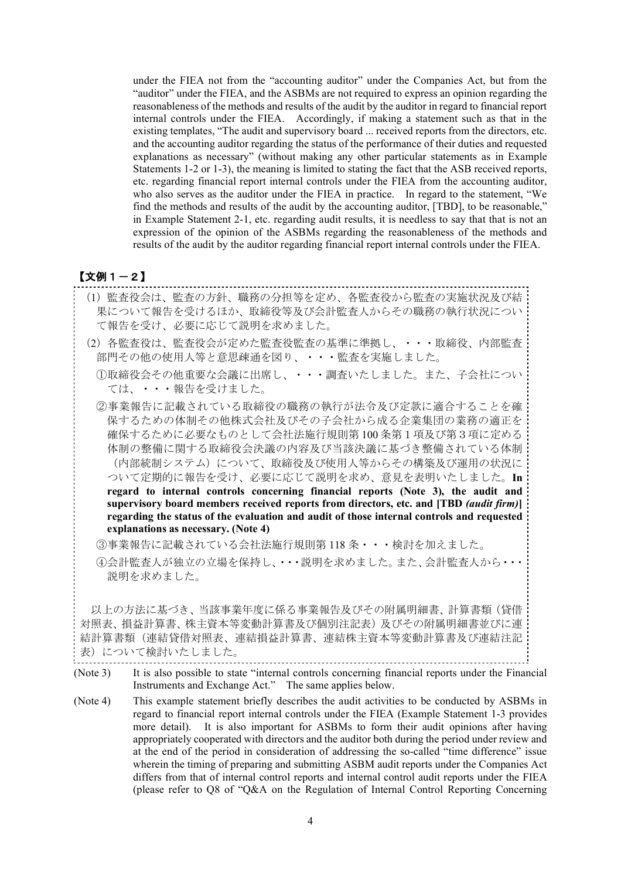under the FIEA not from the "accounting auditor" under the Companies Act, but from the "auditor" under the FIEA, and the ASBMs are not required to express an opinion regarding the reasonableness of the methods and results of the audit by the auditor in regard to financial report internal controls under the FIEA. Accordingly, if making a statement such as that in the existing templates, "The audit and supervisory board ... received reports from the directors, etc. and the accounting auditor regarding the status of the performance of their duties and requested explanations as necessary" (without making any other particular statements as in Example Statements 1-2 or 1-3), the meaning is limited to stating the fact that the ASB received reports, etc. regarding financial report internal controls under the FIEA from the accounting auditor, who also serves as the auditor under the FIEA in practice. In regard to the statement, "We find the methods and results of the audit by the accounting auditor, [TBD], to be reasonable," in Example Statement 2-1, etc. regarding audit results, it is needless to say that that is not an expression of the opinion of the ASBMs regarding the reasonableness of the methods and results of the audit by the auditor regarding financial report internal controls under the FIEA.

# 【文例1-2】

- (1)監査役会は、監査の方針、職務の分担等を定め、各監査役から監査の実施状況及び結 果について報告を受けるほか、取締役等及び会計監査人からその職務の執行状況につい て報告を受け、必要に応じて説明を求めました。
- (2)各監査役は、監査役会が定めた監査役監査の基準に準拠し、・・・取締役、内部監査 部門その他の使用人等と意思疎通を図り、・・・監査を実施しました。

①取締役会その他重要な会議に出席し、・・・調査いたしました。また、子会社につい ては、・・・報告を受けました。

②事業報告に記載されている取締役の職務の執行が法令及び定款に適合することを確 保するための体制その他株式会社及びその子会社から成る企業集団の業務の適正を 確保するために必要なものとして会社法施行規則第 100 条第1項及び第3項に定める 体制の整備に関する取締役会決議の内容及び当該決議に基づき整備されている体制 (内部統制システム)について、取締役及び使用人等からその構築及び運用の状況に ついて定期的に報告を受け、必要に応じて説明を求め、意見を表明いたしました。**In regard to internal controls concerning financial reports (Note 3), the audit and supervisory board members received reports from directors, etc. and [TBD** *(audit firm)***] regarding the status of the evaluation and audit of those internal controls and requested explanations as necessary. (Note 4)**

③事業報告に記載されている会社法施行規則第 118 条・・・検討を加えました。

④会計監査人が独立の立場を保持し、・・・説明を求めました。また、会計監査人から・・・ 説明を求めました。

以上の方法に基づき、当該事業年度に係る事業報告及びその附属明細書、計算書類(貸借 対照表、損益計算書、株主資本等変動計算書及び個別注記表)及びその附属明細書並びに連 結計算書類(連結貸借対照表、連結損益計算書、連結株主資本等変動計算書及び連結注記 表)について検討いたしました。

(Note 4) This example statement briefly describes the audit activities to be conducted by ASBMs in regard to financial report internal controls under the FIEA (Example Statement 1-3 provides more detail). It is also important for ASBMs to form their audit opinions after having appropriately cooperated with directors and the auditor both during the period under review and at the end of the period in consideration of addressing the so-called "time difference" issue wherein the timing of preparing and submitting ASBM audit reports under the Companies Act differs from that of internal control reports and internal control audit reports under the FIEA (please refer to Q8 of "Q&A on the Regulation of Internal Control Reporting Concerning

<sup>(</sup>Note 3) It is also possible to state "internal controls concerning financial reports under the Financial Instruments and Exchange Act." The same applies below.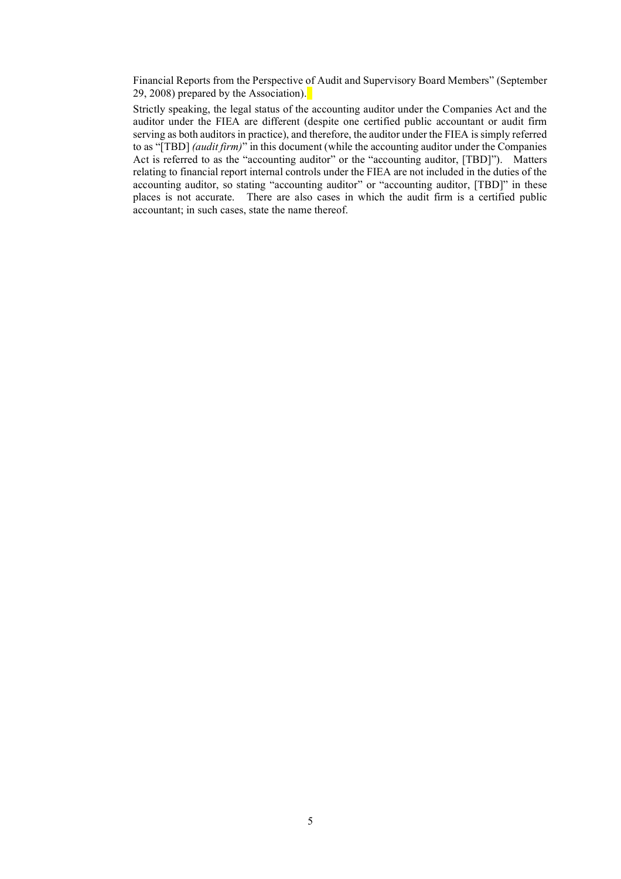Financial Reports from the Perspective of Audit and Supervisory Board Members" (September 29, 2008) prepared by the Association).

Strictly speaking, the legal status of the accounting auditor under the Companies Act and the auditor under the FIEA are different (despite one certified public accountant or audit firm serving as both auditors in practice), and therefore, the auditor under the FIEA is simply referred to as "[TBD] *(audit firm)*" in this document (while the accounting auditor under the Companies Act is referred to as the "accounting auditor" or the "accounting auditor, [TBD]"). Matters relating to financial report internal controls under the FIEA are not included in the duties of the accounting auditor, so stating "accounting auditor" or "accounting auditor, [TBD]" in these places is not accurate. There are also cases in which the audit firm is a certified public accountant; in such cases, state the name thereof.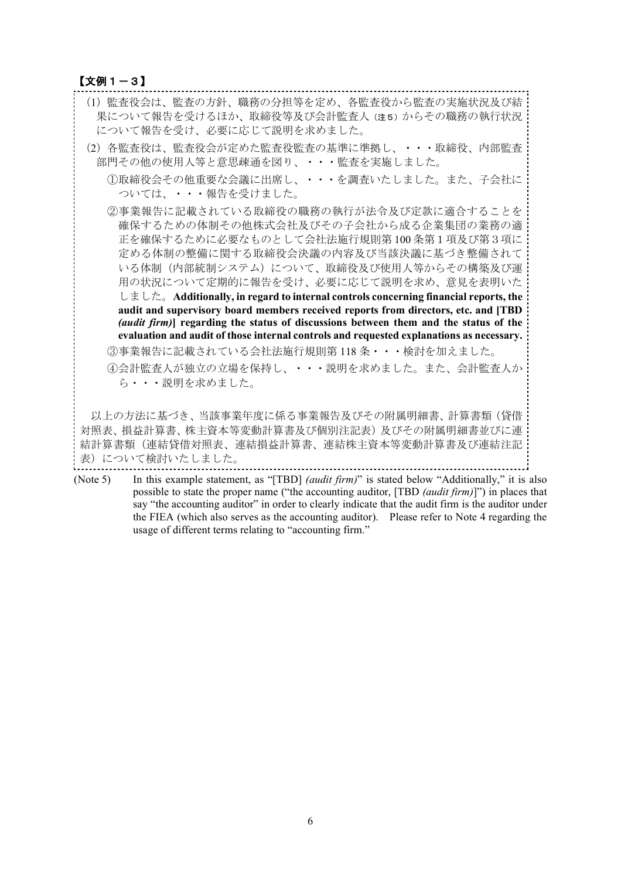### 【文例1-3】

| (1)監査役会は、監査の方針、職務の分担等を定め、各監査役から監査の実施状況及び結<br>果について報告を受けるほか、取締役等及び会計監査人 (注5) からその職務の執行状況<br>について報告を受け、必要に応じて説明を求めました。                                                                                                                                                                                                                                                                                                                                                                                                   |
|------------------------------------------------------------------------------------------------------------------------------------------------------------------------------------------------------------------------------------------------------------------------------------------------------------------------------------------------------------------------------------------------------------------------------------------------------------------------------------------------------------------------|
| (2)各監査役は、監査役会が定めた監査役監査の基準に準拠し、・・・取締役、内部監査<br>部門その他の使用人等と意思疎通を図り、・・・監査を実施しました。                                                                                                                                                                                                                                                                                                                                                                                                                                          |
| ①取締役会その他重要な会議に出席し、・・・を調査いたしました。また、子会社に<br>ついては、・・・報告を受けました。                                                                                                                                                                                                                                                                                                                                                                                                                                                            |
| ②事業報告に記載されている取締役の職務の執行が法令及び定款に適合することを<br>確保するための体制その他株式会社及びその子会社から成る企業集団の業務の適<br>正を確保するために必要なものとして会社法施行規則第100条第1項及び第3項に<br>定める体制の整備に関する取締役会決議の内容及び当該決議に基づき整備されて<br>いる体制(内部統制システム)について、取締役及び使用人等からその構築及び運<br>用の状況について定期的に報告を受け、必要に応じて説明を求め、意見を表明いた<br>しました。Additionally, in regard to internal controls concerning financial reports, the<br>audit and supervisory board members received reports from directors, etc. and [TBD<br>(audit firm)] regarding the status of discussions between them and the status of the |
| evaluation and audit of those internal controls and requested explanations as necessary.                                                                                                                                                                                                                                                                                                                                                                                                                               |
| ③事業報告に記載されている会社法施行規則第118条・・・検討を加えました。                                                                                                                                                                                                                                                                                                                                                                                                                                                                                  |
| ④会計監査人が独立の立場を保持し、・・・説明を求めました。また、会計監査人か<br>ら・・・説明を求めました。                                                                                                                                                                                                                                                                                                                                                                                                                                                                |
| 以上の方法に基づき、当該事業年度に係る事業報告及びその附属明細書、計算書類(貸借<br>対照表、損益計算書、株主資本等変動計算書及び個別注記表)及びその附属明細書並びに連<br>結計算書類(連結貸借対照表、連結損益計算書、連結株主資本等変動計算書及び連結注記                                                                                                                                                                                                                                                                                                                                                                                      |

表)について検討いたしました。

(Note 5) In this example statement, as "[TBD] *(audit firm)*" is stated below "Additionally," it is also possible to state the proper name ("the accounting auditor, [TBD *(audit firm)*]") in places that say "the accounting auditor" in order to clearly indicate that the audit firm is the auditor under the FIEA (which also serves as the accounting auditor). Please refer to Note 4 regarding the usage of different terms relating to "accounting firm."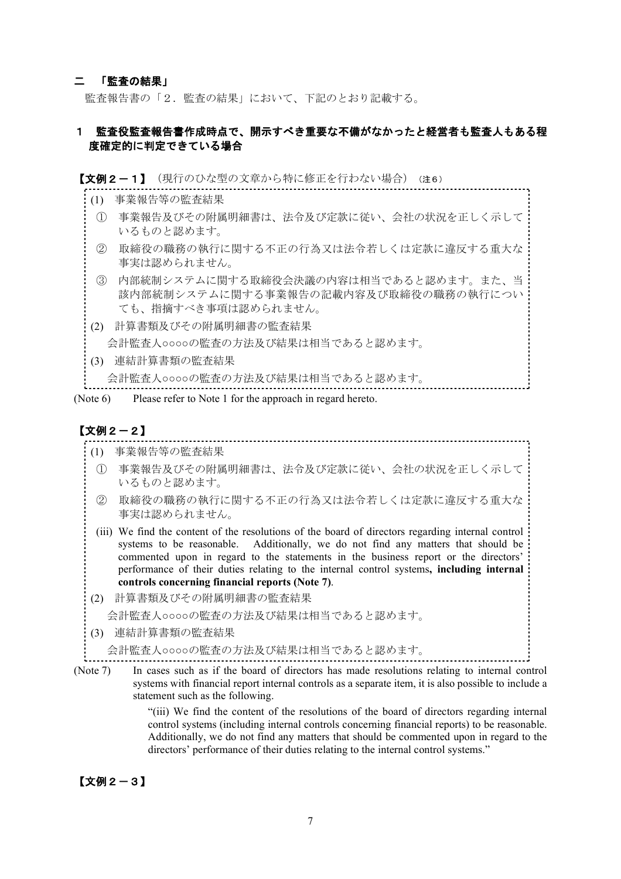### 二 「監査の結果」

監査報告書の「2.監査の結果」において、下記のとおり記載する。

## 1 監査役監査報告書作成時点で、開示すべき重要な不備がなかったと経営者も監査人もある程 度確定的に判定できている場合

#### 【文例2-1】(現行のひな型の文章から特に修正を行わない場合)(注6)

- (1) 事業報告等の監査結果
- ① 事業報告及びその附属明細書は、法令及び定款に従い、会社の状況を正しく示して いるものと認めます。
- ② 取締役の職務の執行に関する不正の行為又は法令若しくは定款に違反する重大な 事実は認められません。
- ③ 内部統制システムに関する取締役会決議の内容は相当であると認めます。また、当 該内部統制システムに関する事業報告の記載内容及び取締役の職務の執行につい ても、指摘すべき事項は認められません。
- (2) 計算書類及びその附属明細書の監査結果

会計監査人○○○○の監査の方法及び結果は相当であると認めます。

(3) 連結計算書類の監査結果

会計監査人○○○○の監査の方法及び結果は相当であると認めます。

(Note 6) Please refer to Note 1 for the approach in regard hereto.

# 【文例2-2】

- (1) 事業報告等の監査結果
- ① 事業報告及びその附属明細書は、法令及び定款に従い、会社の状況を正しく示して いるものと認めます。

- ② 取締役の職務の執行に関する不正の行為又は法令若しくは定款に違反する重大な 事実は認められません。
- (iii) We find the content of the resolutions of the board of directors regarding internal control systems to be reasonable. Additionally, we do not find any matters that should be commented upon in regard to the statements in the business report or the directors' performance of their duties relating to the internal control systems**, including internal controls concerning financial reports (Note 7)**.
- (2) 計算書類及びその附属明細書の監査結果

会計監査人○○○○の監査の方法及び結果は相当であると認めます。

(3) 連結計算書類の監査結果

会計監査人○○○○の監査の方法及び結果は相当であると認めます。

(Note 7) In cases such as if the board of directors has made resolutions relating to internal control systems with financial report internal controls as a separate item, it is also possible to include a statement such as the following.

> "(iii) We find the content of the resolutions of the board of directors regarding internal control systems (including internal controls concerning financial reports) to be reasonable. Additionally, we do not find any matters that should be commented upon in regard to the directors' performance of their duties relating to the internal control systems."

### 【文例2-3】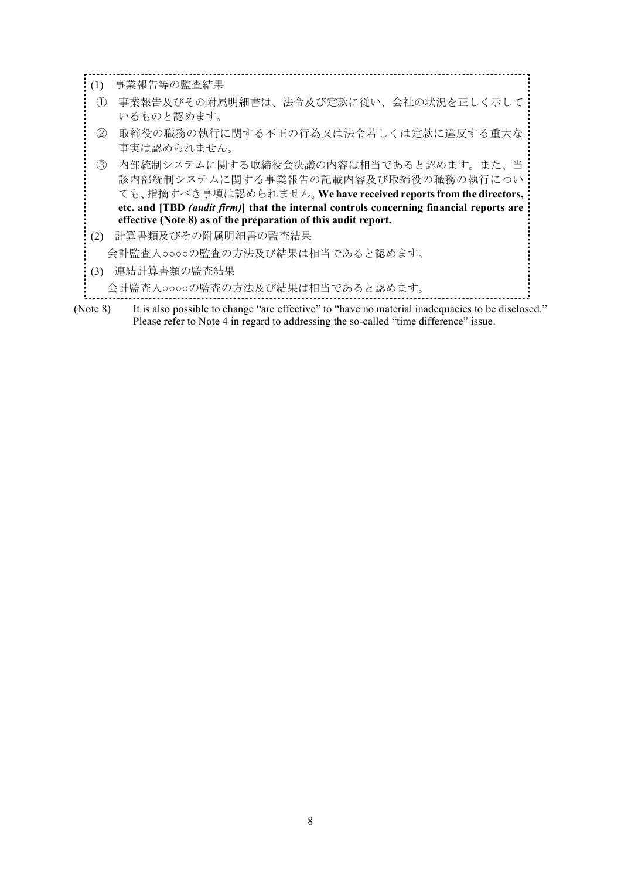| $\left(1\right)$ | 事業報告等の監査結果                                                                                                                                                                                 |
|------------------|--------------------------------------------------------------------------------------------------------------------------------------------------------------------------------------------|
| $\left(1\right)$ | 事業報告及びその附属明細書は、法令及び定款に従い、会社の状況を正しく示して<br>いるものと認めます。                                                                                                                                        |
| (2)              | 取締役の職務の執行に関する不正の行為又は法令若しくは定款に違反する重大な<br>事実は認められません。                                                                                                                                        |
| (3)              | 内部統制システムに関する取締役会決議の内容は相当であると認めます。また、当<br>該内部統制システムに関する事業報告の記載内容及び取締役の職務の執行につい<br>ても、指摘すべき事項は認められません。We have received reports from the directors,                                           |
|                  | etc. and [TBD (audit firm)] that the internal controls concerning financial reports are                                                                                                    |
|                  | effective (Note 8) as of the preparation of this audit report.                                                                                                                             |
| (2)              | 計算書類及びその附属明細書の監査結果                                                                                                                                                                         |
|                  | 会計監査人○○○○の監査の方法及び結果は相当であると認めます。                                                                                                                                                            |
| (3)              | 連結計算書類の監査結果                                                                                                                                                                                |
|                  | 会計監査人○○○○の監査の方法及び結果は相当であると認めます。                                                                                                                                                            |
| (Note 8)         | It is also possible to change "are effective" to "have no material inadequacies to be disclosed."<br>Please refer to Note 4 in regard to addressing the so-called "time difference" issue. |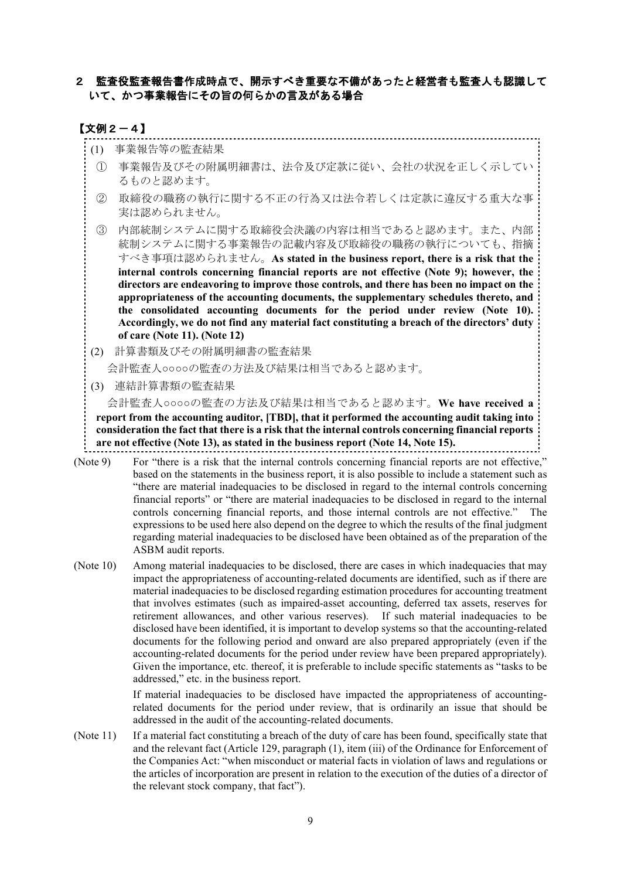# 2 監査役監査報告書作成時点で、開示すべき重要な不備があったと経営者も監査人も認識して いて、かつ事業報告にその旨の何らかの言及がある場合

### 【文例2-4】

- (1) 事業報告等の監査結果
- ① 事業報告及びその附属明細書は、法令及び定款に従い、会社の状況を正しく示してい るものと認めます。
- ② 取締役の職務の執行に関する不正の行為又は法令若しくは定款に違反する重大な事 実は認められません。
- ③ 内部統制システムに関する取締役会決議の内容は相当であると認めます。また、内部 統制システムに関する事業報告の記載内容及び取締役の職務の執行についても、指摘 すべき事項は認められません。**As stated in the business report, there is a risk that the internal controls concerning financial reports are not effective (Note 9); however, the directors are endeavoring to improve those controls, and there has been no impact on the appropriateness of the accounting documents, the supplementary schedules thereto, and the consolidated accounting documents for the period under review (Note 10). Accordingly, we do not find any material fact constituting a breach of the directors' duty of care (Note 11). (Note 12)**
- (2) 計算書類及びその附属明細書の監査結果

会計監査人○○○○の監査の方法及び結果は相当であると認めます。

(3) 連結計算書類の監査結果

会計監査人○○○○の監査の方法及び結果は相当であると認めます。**We have received a**

**report from the accounting auditor, [TBD], that it performed the accounting audit taking into consideration the fact that there is a risk that the internal controls concerning financial reports are not effective (Note 13), as stated in the business report (Note 14, Note 15).**

- (Note 9) For "there is a risk that the internal controls concerning financial reports are not effective," based on the statements in the business report, it is also possible to include a statement such as "there are material inadequacies to be disclosed in regard to the internal controls concerning financial reports" or "there are material inadequacies to be disclosed in regard to the internal controls concerning financial reports, and those internal controls are not effective." The expressions to be used here also depend on the degree to which the results of the final judgment regarding material inadequacies to be disclosed have been obtained as of the preparation of the ASBM audit reports.
- (Note 10) Among material inadequacies to be disclosed, there are cases in which inadequacies that may impact the appropriateness of accounting-related documents are identified, such as if there are material inadequacies to be disclosed regarding estimation procedures for accounting treatment that involves estimates (such as impaired-asset accounting, deferred tax assets, reserves for retirement allowances, and other various reserves). If such material inadequacies to be disclosed have been identified, it is important to develop systems so that the accounting-related documents for the following period and onward are also prepared appropriately (even if the accounting-related documents for the period under review have been prepared appropriately). Given the importance, etc. thereof, it is preferable to include specific statements as "tasks to be addressed," etc. in the business report.

If material inadequacies to be disclosed have impacted the appropriateness of accountingrelated documents for the period under review, that is ordinarily an issue that should be addressed in the audit of the accounting-related documents.

(Note 11) If a material fact constituting a breach of the duty of care has been found, specifically state that and the relevant fact (Article 129, paragraph (1), item (iii) of the Ordinance for Enforcement of the Companies Act: "when misconduct or material facts in violation of laws and regulations or the articles of incorporation are present in relation to the execution of the duties of a director of the relevant stock company, that fact").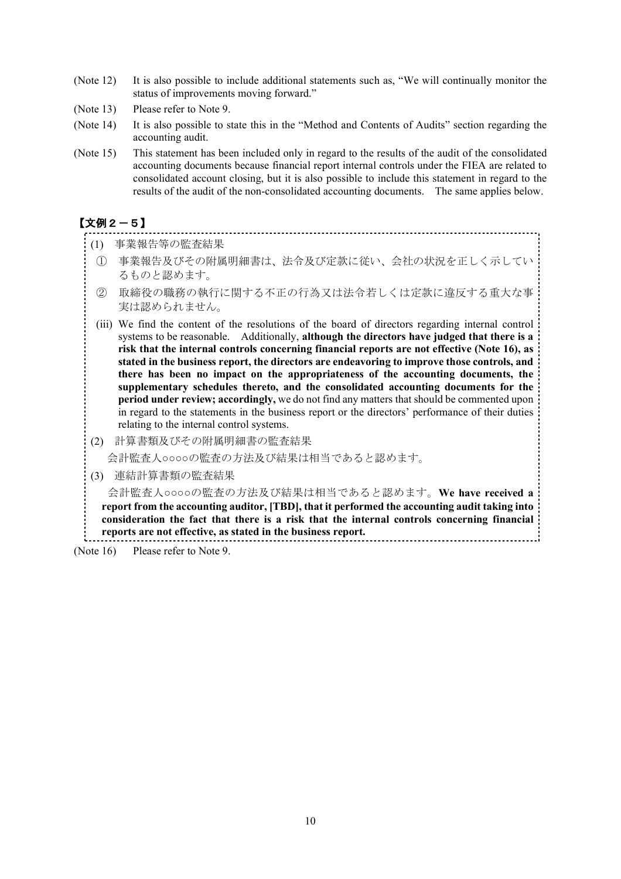- (Note 12) It is also possible to include additional statements such as, "We will continually monitor the status of improvements moving forward."
- (Note 13) Please refer to Note 9.
- (Note 14) It is also possible to state this in the "Method and Contents of Audits" section regarding the accounting audit.
- (Note 15) This statement has been included only in regard to the results of the audit of the consolidated accounting documents because financial report internal controls under the FIEA are related to consolidated account closing, but it is also possible to include this statement in regard to the results of the audit of the non-consolidated accounting documents. The same applies below.

# 【文例2-5】

- (1) 事業報告等の監査結果
- ① 事業報告及びその附属明細書は、法令及び定款に従い、会社の状況を正しく示してい るものと認めます。

- ② 取締役の職務の執行に関する不正の行為又は法令若しくは定款に違反する重大な事 実は認められません。
- (iii) We find the content of the resolutions of the board of directors regarding internal control systems to be reasonable. Additionally, **although the directors have judged that there is a risk that the internal controls concerning financial reports are not effective (Note 16), as stated in the business report, the directors are endeavoring to improve those controls, and there has been no impact on the appropriateness of the accounting documents, the supplementary schedules thereto, and the consolidated accounting documents for the period under review; accordingly,** we do not find any matters that should be commented upon in regard to the statements in the business report or the directors' performance of their duties relating to the internal control systems.
- (2) 計算書類及びその附属明細書の監査結果
	- 会計監査人○○○○の監査の方法及び結果は相当であると認めます。
- (3) 連結計算書類の監査結果

会計監査人○○○○の監査の方法及び結果は相当であると認めます。**We have received a report from the accounting auditor, [TBD], that it performed the accounting audit taking into consideration the fact that there is a risk that the internal controls concerning financial reports are not effective, as stated in the business report.** 1000 - Antonio Alemania, Antonio Alemania, Antonio Alemania, Antonio Alemania, Antonio Alemania, Antonio Alema

(Note 16) Please refer to Note 9.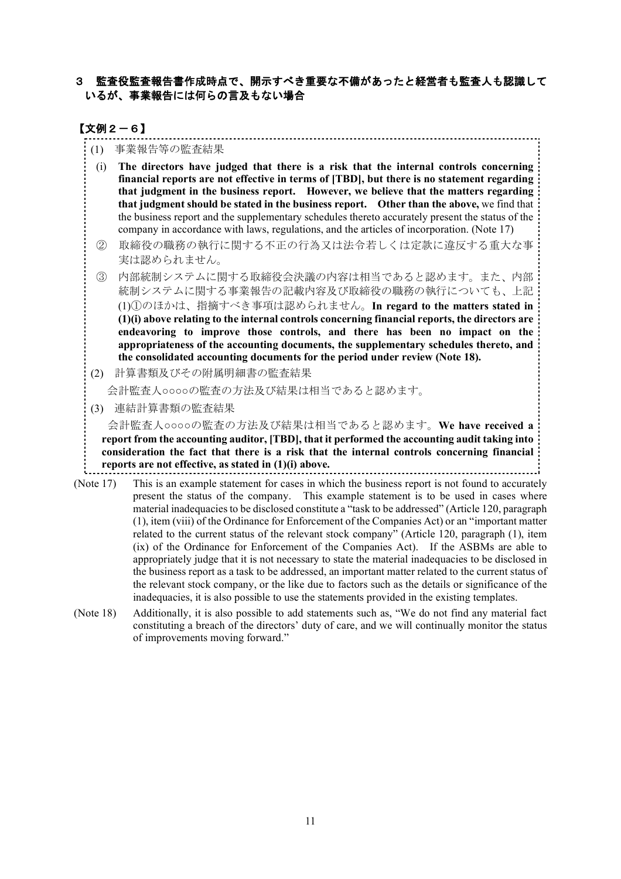# 3 監査役監査報告書作成時点で、開示すべき重要な不備があったと経営者も監査人も認識して いるが、事業報告には何らの言及もない場合

# 【文例2-6】

- (1) 事業報告等の監査結果
- (i) **The directors have judged that there is a risk that the internal controls concerning financial reports are not effective in terms of [TBD], but there is no statement regarding that judgment in the business report. However, we believe that the matters regarding that judgment should be stated in the business report. Other than the above,** we find that the business report and the supplementary schedules thereto accurately present the status of the company in accordance with laws, regulations, and the articles of incorporation. (Note 17)
- ② 取締役の職務の執行に関する不正の行為又は法令若しくは定款に違反する重大な事 実は認められません。
- ③ 内部統制システムに関する取締役会決議の内容は相当であると認めます。また、内部 統制システムに関する事業報告の記載内容及び取締役の職務の執行についても、上記 (1)①のほかは、指摘すべき事項は認められません。**In regard to the matters stated in (1)(i) above relating to the internal controls concerning financial reports, the directors are endeavoring to improve those controls, and there has been no impact on the appropriateness of the accounting documents, the supplementary schedules thereto, and the consolidated accounting documents for the period under review (Note 18).**
- (2) 計算書類及びその附属明細書の監査結果

会計監査人○○○○の監査の方法及び結果は相当であると認めます。

(3) 連結計算書類の監査結果

会計監査人○○○○の監査の方法及び結果は相当であると認めます。**We have received a report from the accounting auditor, [TBD], that it performed the accounting audit taking into consideration the fact that there is a risk that the internal controls concerning financial reports are not effective, as stated in (1)(i) above.** 

- (Note 17) This is an example statement for cases in which the business report is not found to accurately present the status of the company. This example statement is to be used in cases where material inadequaciesto be disclosed constitute a "task to be addressed" (Article 120, paragraph (1), item (viii) of the Ordinance for Enforcement of the Companies Act) or an "important matter related to the current status of the relevant stock company" (Article 120, paragraph (1), item (ix) of the Ordinance for Enforcement of the Companies Act). If the ASBMs are able to appropriately judge that it is not necessary to state the material inadequacies to be disclosed in the business report as a task to be addressed, an important matter related to the current status of the relevant stock company, or the like due to factors such as the details or significance of the inadequacies, it is also possible to use the statements provided in the existing templates.
- (Note 18) Additionally, it is also possible to add statements such as, "We do not find any material fact constituting a breach of the directors' duty of care, and we will continually monitor the status of improvements moving forward."